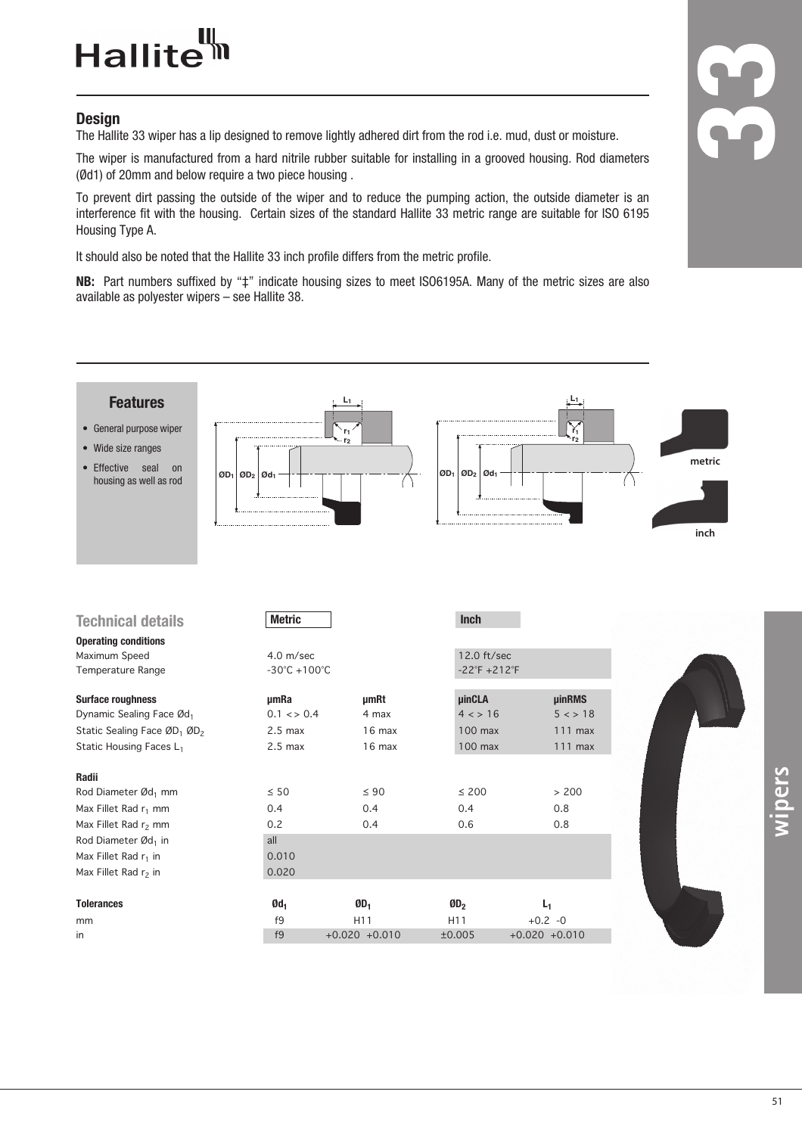### Hallite<sup>tt</sup>

#### **Design**

The Hallite 33 wiper has a lip designed to remove lightly adhered dirt from the rod i.e. mud, dust or moisture.

The wiper is manufactured from a hard nitrile rubber suitable for installing in a grooved housing. Rod diameters (Ød1) of 20mm and below require a two piece housing .

To prevent dirt passing the outside of the wiper and to reduce the pumping action, the outside diameter is an interference fit with the housing. Certain sizes of the standard Hallite 33 metric range are suitable for ISO 6195 Housing Type A.

It should also be noted that the Hallite 33 inch profile differs from the metric profile.

**NB:** Part numbers suffixed by "‡" indicate housing sizes to meet ISO6195A. Many of the metric sizes are also available as polyester wipers – see Hallite 38.



| <b>Features</b><br>• General purpose wiper<br>• Wide size ranges<br>• Effective<br>seal<br>on<br>housing as well as rod | $ OD_1 $ $ OD_2 $ $ Od_1 $                       | r <sub>1</sub>  | $OD_1$ $OD_2$ $Od_1$                         | ř,            | metric<br>inch |
|-------------------------------------------------------------------------------------------------------------------------|--------------------------------------------------|-----------------|----------------------------------------------|---------------|----------------|
| <b>Technical details</b>                                                                                                | <b>Metric</b>                                    |                 | <b>Inch</b>                                  |               |                |
| <b>Operating conditions</b>                                                                                             |                                                  |                 |                                              |               |                |
| Maximum Speed<br>Temperature Range                                                                                      | $4.0$ m/sec<br>$-30^{\circ}$ C +100 $^{\circ}$ C |                 | 12.0 ft/sec<br>$-22^{\circ}F + 212^{\circ}F$ |               |                |
|                                                                                                                         |                                                  |                 |                                              |               |                |
| <b>Surface roughness</b>                                                                                                | umRa                                             | umRt            | <b>µinCLA</b>                                | <b>µinRMS</b> |                |
| Dynamic Sealing Face Ød1                                                                                                | $0.1 \leq x \leq 0.4$                            | 4 max           | 4 < 16                                       | 5 < 18        |                |
| Static Sealing Face ØD <sub>1</sub> ØD <sub>2</sub>                                                                     | $2.5$ max                                        | 16 max          | 100 max                                      | $111$ max     |                |
| Static Housing Faces L <sub>1</sub>                                                                                     | $2.5$ max                                        | 16 max          | 100 max                                      | 111 max       |                |
| Radii                                                                                                                   |                                                  |                 |                                              |               |                |
| Rod Diameter Ød <sub>1</sub> mm                                                                                         | $\leq 50$                                        | $\leq 90$       | $\leq 200$                                   | > 200         |                |
| Max Fillet Rad r <sub>1</sub> mm                                                                                        | 0.4                                              | 0.4             | 0.4                                          | 0.8           |                |
| Max Fillet Rad r <sub>2</sub> mm                                                                                        | 0.2                                              | 0.4             | 0.6                                          | 0.8           |                |
| Rod Diameter Ød <sub>1</sub> in                                                                                         | all                                              |                 |                                              |               |                |
| Max Fillet Rad $r_1$ in                                                                                                 | 0.010                                            |                 |                                              |               |                |
| Max Fillet Rad r <sub>2</sub> in                                                                                        | 0.020                                            |                 |                                              |               |                |
| <b>Tolerances</b>                                                                                                       | Ød <sub>1</sub>                                  | $ØD_1$          | 0D <sub>2</sub>                              | $L_1$         |                |
| mm                                                                                                                      | f9                                               | H <sub>11</sub> | H11                                          | $+0.2 -0$     |                |
|                                                                                                                         |                                                  |                 |                                              |               |                |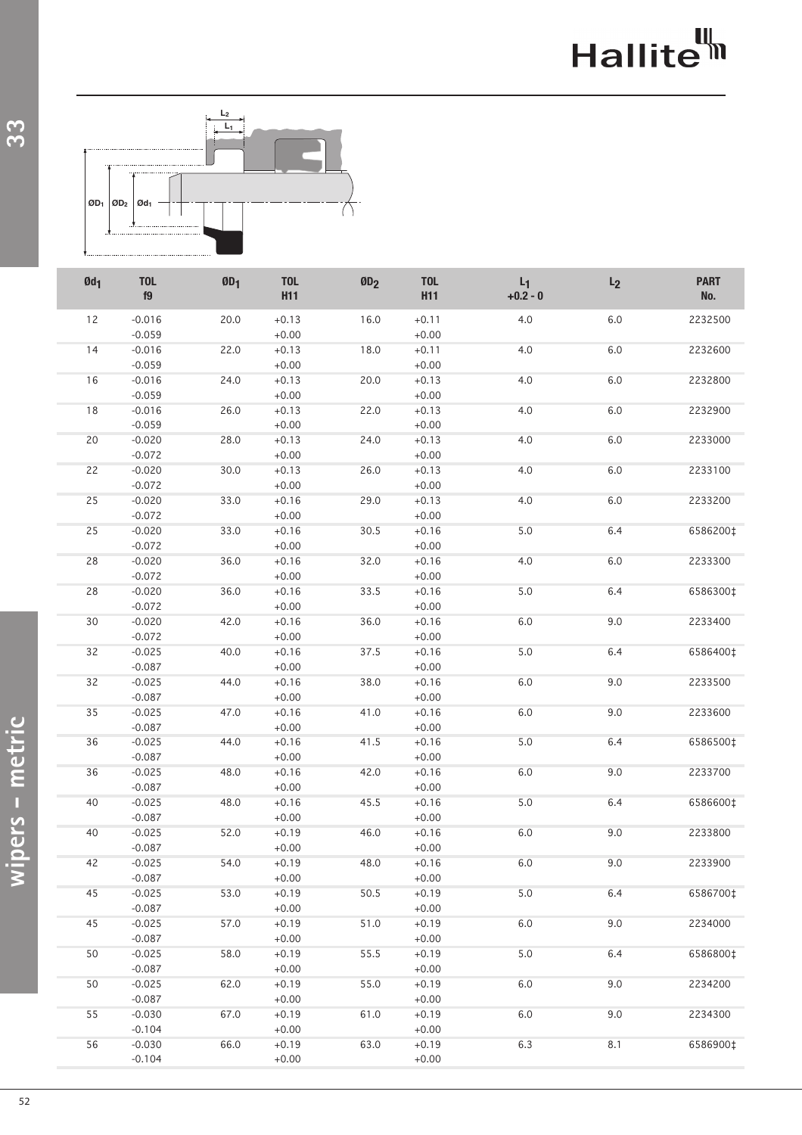# Hallite<sup>th</sup>



| $Qd_1$ | <b>TOL</b><br>f9 | ØD <sub>1</sub> | <b>TOL</b><br><b>H11</b> | ØD <sub>2</sub> | <b>TOL</b><br><b>H11</b> | $L_1$<br>$+0.2 - 0$ | L <sub>2</sub> | <b>PART</b><br>No. |
|--------|------------------|-----------------|--------------------------|-----------------|--------------------------|---------------------|----------------|--------------------|
| 12     | $-0.016$         | 20.0            | $+0.13$                  | 16.0            | $+0.11$                  | 4.0                 | $6.0$          | 2232500            |
|        | $-0.059$         |                 | $+0.00$                  |                 | $+0.00$                  |                     |                |                    |
| 14     | $-0.016$         | 22.0            | $+0.13$                  | 18.0            | $+0.11$                  | 4.0                 | 6.0            | 2232600            |
|        | $-0.059$         |                 | $+0.00$                  |                 | $+0.00$                  |                     |                |                    |
| 16     | $-0.016$         | 24.0            | $+0.13$                  | 20.0            | $+0.13$                  | 4.0                 | 6.0            | 2232800            |
|        | $-0.059$         |                 | $+0.00$                  |                 | $+0.00$                  |                     |                |                    |
| 18     | $-0.016$         | 26.0            | $+0.13$                  | 22.0            | $+0.13$                  | 4.0                 | 6.0            | 2232900            |
|        | $-0.059$         |                 | $+0.00$                  |                 | $+0.00$                  |                     |                |                    |
| 20     | $-0.020$         | 28.0            | $+0.13$                  | 24.0            | $+0.13$                  | 4.0                 | 6.0            | 2233000            |
|        | $-0.072$         |                 | $+0.00$                  |                 | $+0.00$                  |                     |                |                    |
| 22     | $-0.020$         | 30.0            | $+0.13$                  | 26.0            | $+0.13$                  | 4.0                 | 6.0            | 2233100            |
|        | $-0.072$         |                 | $+0.00$                  |                 | $+0.00$                  |                     |                |                    |
| 25     | $-0.020$         | 33.0            | $+0.16$                  | 29.0            | $+0.13$                  | 4.0                 | 6.0            | 2233200            |
|        | $-0.072$         |                 | $+0.00$                  |                 | $+0.00$                  |                     |                |                    |
| 25     | $-0.020$         | 33.0            | $+0.16$                  | 30.5            | $+0.16$                  | 5.0                 | 6.4            | 6586200‡           |
|        | $-0.072$         |                 | $+0.00$                  |                 | $+0.00$                  |                     |                |                    |
| 28     | $-0.020$         | 36.0            | $+0.16$                  | 32.0            | $+0.16$                  | 4.0                 | 6.0            | 2233300            |
|        | $-0.072$         |                 | $+0.00$                  |                 | $+0.00$                  |                     |                |                    |
| 28     | $-0.020$         | 36.0            | $+0.16$                  | 33.5            | $+0.16$                  | 5.0                 | 6.4            | 6586300‡           |
|        | $-0.072$         |                 | $+0.00$                  |                 | $+0.00$                  |                     |                |                    |
| 30     | $-0.020$         | 42.0            | $+0.16$                  | 36.0            | $+0.16$                  | 6.0                 | 9.0            | 2233400            |
|        | $-0.072$         |                 | $+0.00$                  |                 | $+0.00$                  |                     |                |                    |
| 32     | $-0.025$         | 40.0            | $+0.16$                  | 37.5            | $+0.16$                  | 5.0                 | 6.4            | 6586400‡           |
|        | $-0.087$         |                 | $+0.00$                  |                 | $+0.00$                  |                     |                |                    |
| 32     | $-0.025$         | 44.0            | $+0.16$                  | 38.0            | $+0.16$                  | 6.0                 | 9.0            | 2233500            |
|        | $-0.087$         |                 | $+0.00$                  |                 | $+0.00$                  |                     |                |                    |
| 35     | $-0.025$         | 47.0            | $+0.16$                  | 41.0            | $+0.16$                  | 6.0                 | 9.0            | 2233600            |
|        | $-0.087$         |                 | $+0.00$                  |                 | $+0.00$                  |                     |                |                    |
| 36     | $-0.025$         | 44.0            | $+0.16$                  | 41.5            | $+0.16$                  | 5.0                 | 6.4            | 6586500‡           |
|        | $-0.087$         |                 | $+0.00$                  |                 | $+0.00$                  |                     |                |                    |
| 36     | $-0.025$         | 48.0            | $+0.16$                  | 42.0            | $+0.16$                  | 6.0                 | 9.0            | 2233700            |
|        | $-0.087$         |                 | $+0.00$                  |                 | $+0.00$                  |                     |                |                    |
| 40     | $-0.025$         | 48.0            | $+0.16$                  | 45.5            | $+0.16$                  | 5.0                 | 6.4            | 6586600‡           |
|        | $-0.087$         |                 | $+0.00$                  |                 | $+0.00$                  |                     |                |                    |
| 40     | $-0.025$         | 52.0            | $+0.19$                  | 46.0            | $+0.16$                  | 6.0                 | 9.0            | 2233800            |
|        | $-0.087$         |                 | $+0.00$                  |                 | $+0.00$                  |                     |                |                    |
| 42     | $-0.025$         | 54.0            | $+0.19$                  | 48.0            | $+0.16$                  | 6.0                 | 9.0            | 2233900            |
|        | $-0.087$         |                 | $+0.00$                  |                 | $+0.00$                  |                     |                |                    |
| 45     | $-0.025$         | 53.0            | $+0.19$                  | 50.5            | $+0.19$                  | 5.0                 | 6.4            | 6586700‡           |
|        | $-0.087$         |                 | $+0.00$                  |                 | $+0.00$                  |                     |                |                    |
| 45     | $-0.025$         | 57.0            | $+0.19$                  | 51.0            | $+0.19$                  | 6.0                 | 9.0            | 2234000            |
|        | $-0.087$         |                 | $+0.00$                  |                 | $+0.00$                  |                     |                |                    |
| 50     | $-0.025$         | 58.0            | $+0.19$                  | 55.5            | $+0.19$                  | 5.0                 | 6.4            | 6586800‡           |
|        | $-0.087$         |                 | $+0.00$                  |                 | $+0.00$                  |                     |                |                    |
| 50     | $-0.025$         | 62.0            | $+0.19$                  | 55.0            | $+0.19$                  | 6.0                 | 9.0            | 2234200            |
|        | $-0.087$         |                 | $+0.00$                  |                 | $+0.00$                  |                     |                |                    |
| 55     | $-0.030$         | 67.0            | $+0.19$                  | 61.0            | $+0.19$                  | 6.0                 | 9.0            | 2234300            |
|        | $-0.104$         |                 | $+0.00$                  |                 | $+0.00$                  |                     |                |                    |
| 56     | $-0.030$         | 66.0            | $+0.19$                  | 63.0            | $+0.19$                  | 6.3                 | 8.1            | 6586900‡           |
|        | $-0.104$         |                 | $+0.00$                  |                 | $+0.00$                  |                     |                |                    |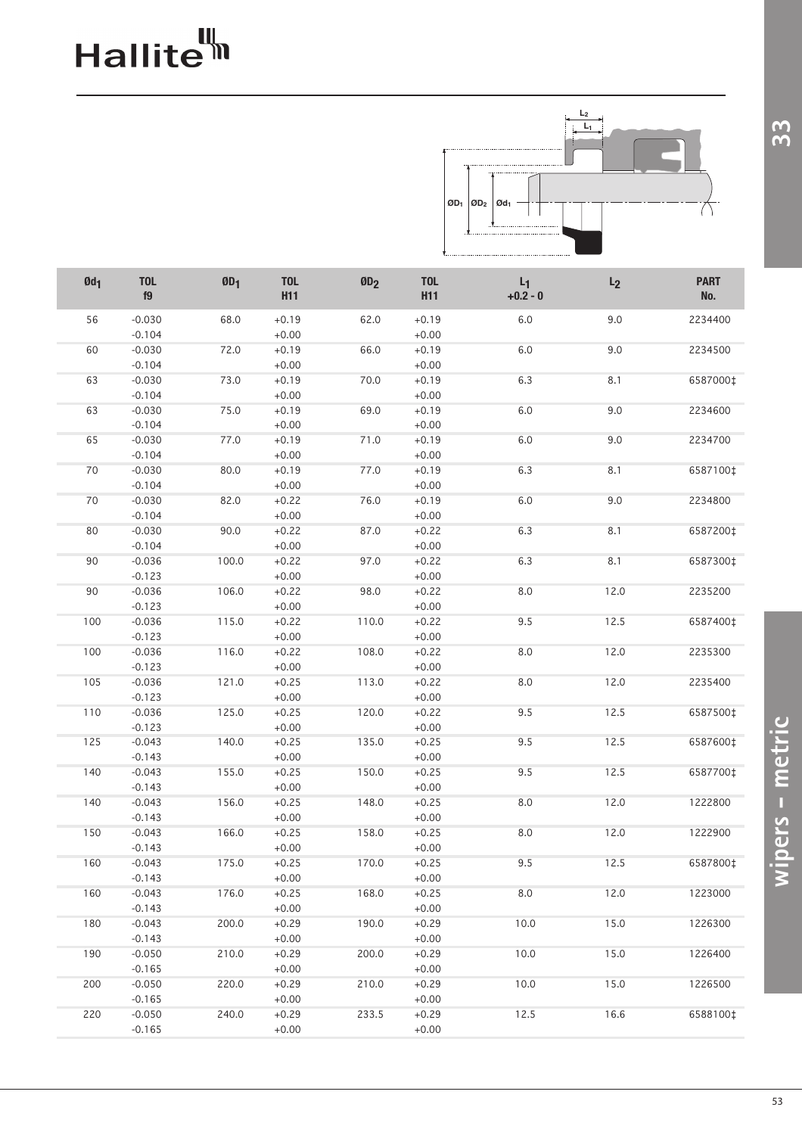# Hallite<sup>th</sup>



| $Qd_1$ | <b>TOL</b><br>f9     | ØD <sub>1</sub> | <b>TOL</b><br><b>H11</b> | ØD <sub>2</sub> | <b>TOL</b><br>H <sub>11</sub> | $L_1$<br>$+0.2 - 0$ | L <sub>2</sub> | <b>PART</b><br>No. |
|--------|----------------------|-----------------|--------------------------|-----------------|-------------------------------|---------------------|----------------|--------------------|
| 56     | $-0.030$<br>$-0.104$ | 68.0            | $+0.19$                  | 62.0            | $+0.19$<br>$+0.00$            | $6.0\,$             | 9.0            | 2234400            |
|        |                      |                 | $+0.00$                  | 66.0            |                               | 6.0                 |                |                    |
| 60     | $-0.030$<br>$-0.104$ | 72.0            | $+0.19$<br>$+0.00$       |                 | $+0.19$<br>$+0.00$            |                     | 9.0            | 2234500            |
| 63     | $-0.030$             | 73.0            | $+0.19$                  | 70.0            | $+0.19$                       | 6.3                 | 8.1            | 6587000‡           |
|        | $-0.104$             |                 | $+0.00$                  |                 | $+0.00$                       |                     |                |                    |
| 63     | $-0.030$             | 75.0            | $+0.19$                  | 69.0            | $+0.19$                       | 6.0                 | 9.0            | 2234600            |
|        | $-0.104$             |                 | $+0.00$                  |                 | $+0.00$                       |                     |                |                    |
| 65     | $-0.030$             | 77.0            | $+0.19$                  | 71.0            | $+0.19$                       | 6.0                 | 9.0            | 2234700            |
|        | $-0.104$             |                 | $+0.00$                  |                 | $+0.00$                       |                     |                |                    |
| 70     | $-0.030$             | 80.0            | $+0.19$                  | 77.0            | $+0.19$                       | 6.3                 | 8.1            | 6587100‡           |
|        | $-0.104$             |                 | $+0.00$                  |                 | $+0.00$                       |                     |                |                    |
| 70     | $-0.030$             | 82.0            | $+0.22$                  | 76.0            | $+0.19$                       | 6.0                 | 9.0            | 2234800            |
|        | $-0.104$             |                 | $+0.00$                  |                 | $+0.00$                       |                     |                |                    |
| 80     | $-0.030$             | 90.0            | $+0.22$                  | 87.0            | $+0.22$                       | 6.3                 | 8.1            | 6587200‡           |
|        | $-0.104$             |                 | $+0.00$                  |                 | $+0.00$                       |                     |                |                    |
| 90     | $-0.036$             | 100.0           | $+0.22$                  | 97.0            | $+0.22$                       | 6.3                 | 8.1            | 6587300‡           |
|        | $-0.123$             |                 | $+0.00$                  |                 | $+0.00$                       |                     |                |                    |
| 90     | $-0.036$             | 106.0           | $+0.22$                  | 98.0            | $+0.22$                       | 8.0                 | 12.0           | 2235200            |
|        | $-0.123$             |                 | $+0.00$                  |                 | $+0.00$                       |                     |                |                    |
| 100    | $-0.036$             | 115.0           | $+0.22$                  | 110.0           | $+0.22$                       | 9.5                 | 12.5           | 6587400‡           |
|        | $-0.123$             |                 | $+0.00$                  |                 | $+0.00$                       |                     |                |                    |
| 100    | $-0.036$             | 116.0           | $+0.22$                  | 108.0           | $+0.22$                       | 8.0                 | 12.0           | 2235300            |
|        | $-0.123$             |                 | $+0.00$                  |                 | $+0.00$                       |                     |                |                    |
| 105    | $-0.036$             | 121.0           | $+0.25$                  | 113.0           | $+0.22$                       | 8.0                 | 12.0           | 2235400            |
|        | $-0.123$             |                 | $+0.00$                  |                 | $+0.00$                       |                     |                |                    |
| 110    | $-0.036$             | 125.0           | $+0.25$                  | 120.0           | $+0.22$                       | 9.5                 | 12.5           | 6587500‡           |
|        | $-0.123$             |                 | $+0.00$                  |                 | $+0.00$                       |                     |                |                    |
| 125    | $-0.043$             | 140.0           | $+0.25$                  | 135.0           | $+0.25$                       | 9.5                 | 12.5           | 6587600‡           |
|        | $-0.143$             |                 | $+0.00$                  |                 | $+0.00$                       |                     |                |                    |
| 140    | $-0.043$             | 155.0           | $+0.25$                  | 150.0           | $+0.25$                       | 9.5                 | 12.5           | 6587700‡           |
|        | $-0.143$             |                 | $+0.00$                  |                 | $+0.00$                       |                     |                |                    |
| 140    | $-0.043$             | 156.0           | $+0.25$                  | 148.0           | $+0.25$                       | 8.0                 | 12.0           | 1222800            |
|        | $-0.143$             |                 | $+0.00$                  |                 | $+0.00$                       |                     |                |                    |
| 150    | $-0.043$             | 166.0           | $+0.25$                  | 158.0           | $+0.25$                       | 8.0                 | 12.0           | 1222900            |
|        | $-0.143$             |                 | $+0.00$                  |                 | $+0.00$                       |                     |                |                    |
| 160    | $-0.043$             | 175.0           | $+0.25$                  | 170.0           | $+0.25$                       | 9.5                 | 12.5           | 6587800‡           |
|        | $-0.143$             |                 | $+0.00$                  |                 | $+0.00$                       |                     |                |                    |
| 160    | $-0.043$             | 176.0           | $+0.25$                  | 168.0           | $+0.25$                       | 8.0                 | 12.0           | 1223000            |
|        | $-0.143$             |                 | $+0.00$                  |                 | $+0.00$                       |                     |                |                    |
| 180    | $-0.043$             | 200.0           | $+0.29$                  | 190.0           | $+0.29$                       | 10.0                | 15.0           | 1226300            |
|        | $-0.143$             |                 | $+0.00$                  |                 | $+0.00$                       |                     |                |                    |
| 190    | $-0.050$             | 210.0           | $+0.29$                  | 200.0           | $+0.29$                       | 10.0                | 15.0           | 1226400            |
|        | $-0.165$             |                 | $+0.00$                  |                 | $+0.00$                       |                     |                |                    |
| 200    | $-0.050$             | 220.0           | $+0.29$                  | 210.0           | $+0.29$                       | 10.0                | 15.0           | 1226500            |
|        | $-0.165$             |                 | $+0.00$                  |                 | $+0.00$                       |                     |                |                    |
| 220    | $-0.050$             | 240.0           | $+0.29$                  | 233.5           | $+0.29$                       | 12.5                | 16.6           | 6588100‡           |
|        | $-0.165$             |                 | $+0.00$                  |                 | $+0.00$                       |                     |                |                    |